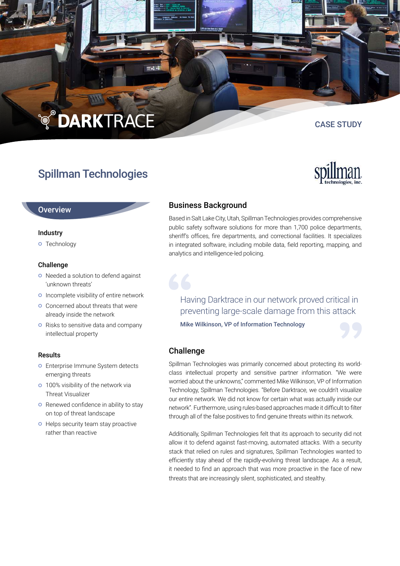# **TO DARKTRACE**

## Spillman Technologies

## **Overview**

### Industry

**o** Technology

## Challenge

- o Needed a solution to defend against 'unknown threats'
- **o** Incomplete visibility of entire network
- **o** Concerned about threats that were already inside the network
- o Risks to sensitive data and company intellectual property

#### Results

- **O** Enterprise Immune System detects emerging threats
- **o** 100% visibility of the network via Threat Visualizer
- **O** Renewed confidence in ability to stay on top of threat landscape
- **O** Helps security team stay proactive rather than reactive

## Business Background

Based in Salt Lake City, Utah, Spillman Technologies provides comprehensive public safety software solutions for more than 1,700 police departments, sheriff's offices, fire departments, and correctional facilities. It specializes in integrated software, including mobile data, field reporting, mapping, and analytics and intelligence-led policing.

## Having Darktrace in our network proved critical in preventing large-scale damage from this attack

Mike Wilkinson, VP of Information Technology



## Challenge

Spillman Technologies was primarily concerned about protecting its worldclass intellectual property and sensitive partner information. "We were worried about the unknowns," commented Mike Wilkinson, VP of Information Technology, Spillman Technologies. "Before Darktrace, we couldn't visualize our entire network. We did not know for certain what was actually inside our network". Furthermore, using rules-based approaches made it difficult to filter through all of the false positives to find genuine threats within its network.

Additionally, Spillman Technologies felt that its approach to security did not allow it to defend against fast-moving, automated attacks. With a security stack that relied on rules and signatures, Spillman Technologies wanted to efficiently stay ahead of the rapidly-evolving threat landscape. As a result, it needed to find an approach that was more proactive in the face of new threats that are increasingly silent, sophisticated, and stealthy.



CASE STUDY

 $= 35$